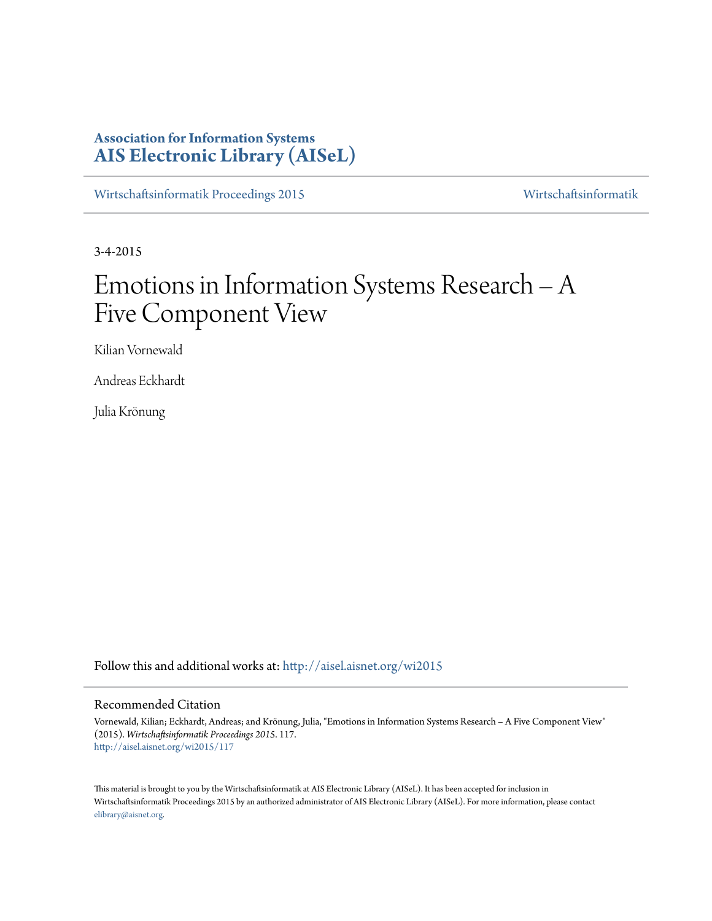# **Association for Information Systems [AIS Electronic Library \(AISeL\)](http://aisel.aisnet.org?utm_source=aisel.aisnet.org%2Fwi2015%2F117&utm_medium=PDF&utm_campaign=PDFCoverPages)**

[Wirtschaftsinformatik Proceedings 2015](http://aisel.aisnet.org/wi2015?utm_source=aisel.aisnet.org%2Fwi2015%2F117&utm_medium=PDF&utm_campaign=PDFCoverPages) [Wirtschaftsinformatik](http://aisel.aisnet.org/wi?utm_source=aisel.aisnet.org%2Fwi2015%2F117&utm_medium=PDF&utm_campaign=PDFCoverPages)

3-4-2015

# Emotions in Information Systems Research – A Five Component View

Kilian Vornewald

Andreas Eckhardt

Julia Krönung

Follow this and additional works at: [http://aisel.aisnet.org/wi2015](http://aisel.aisnet.org/wi2015?utm_source=aisel.aisnet.org%2Fwi2015%2F117&utm_medium=PDF&utm_campaign=PDFCoverPages)

## Recommended Citation

Vornewald, Kilian; Eckhardt, Andreas; and Krönung, Julia, "Emotions in Information Systems Research – A Five Component View" (2015). *Wirtschaftsinformatik Proceedings 2015*. 117. [http://aisel.aisnet.org/wi2015/117](http://aisel.aisnet.org/wi2015/117?utm_source=aisel.aisnet.org%2Fwi2015%2F117&utm_medium=PDF&utm_campaign=PDFCoverPages)

This material is brought to you by the Wirtschaftsinformatik at AIS Electronic Library (AISeL). It has been accepted for inclusion in Wirtschaftsinformatik Proceedings 2015 by an authorized administrator of AIS Electronic Library (AISeL). For more information, please contact [elibrary@aisnet.org.](mailto:elibrary@aisnet.org%3E)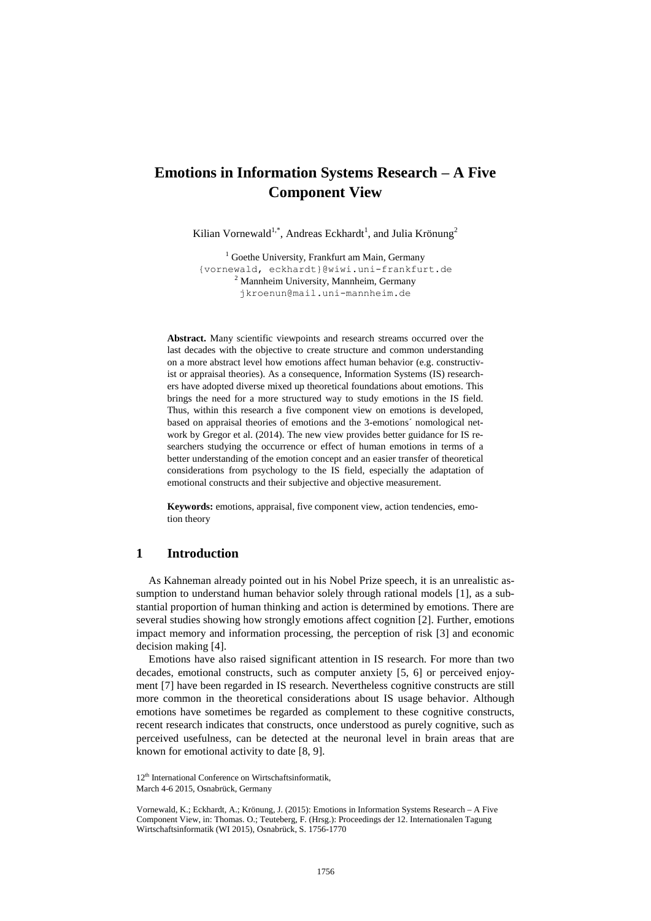# **Emotions in Information Systems Research – A Five Component View**

Kilian Vornewald<sup>1,\*</sup>, Andreas Eckhardt<sup>1</sup>, and Julia Krönung<sup>2</sup>

<sup>1</sup> Goethe University, Frankfurt am Main, Germany {vornewald, eckhardt}@wiwi.uni-frankfurt.de <sup>2</sup> Mannheim University, Mannheim, Germany jkroenun@mail.uni-mannheim.de

**Abstract.** Many scientific viewpoints and research streams occurred over the last decades with the objective to create structure and common understanding on a more abstract level how emotions affect human behavior (e.g. constructivist or appraisal theories). As a consequence, Information Systems (IS) researchers have adopted diverse mixed up theoretical foundations about emotions. This brings the need for a more structured way to study emotions in the IS field. Thus, within this research a five component view on emotions is developed, based on appraisal theories of emotions and the 3-emotions´ nomological network by Gregor et al. (2014). The new view provides better guidance for IS researchers studying the occurrence or effect of human emotions in terms of a better understanding of the emotion concept and an easier transfer of theoretical considerations from psychology to the IS field, especially the adaptation of emotional constructs and their subjective and objective measurement.

**Keywords:** emotions, appraisal, five component view, action tendencies, emotion theory

## **1 Introduction**

As Kahneman already pointed out in his Nobel Prize speech, it is an unrealistic assumption to understand human behavior solely through rational models [1], as a substantial proportion of human thinking and action is determined by emotions. There are several studies showing how strongly emotions affect cognition [2]. Further, emotions impact memory and information processing, the perception of risk [3] and economic decision making [4].

Emotions have also raised significant attention in IS research. For more than two decades, emotional constructs, such as computer anxiety [5, 6] or perceived enjoyment [7] have been regarded in IS research. Nevertheless cognitive constructs are still more common in the theoretical considerations about IS usage behavior. Although emotions have sometimes be regarded as complement to these cognitive constructs, recent research indicates that constructs, once understood as purely cognitive, such as perceived usefulness, can be detected at the neuronal level in brain areas that are known for emotional activity to date [8, 9].

<sup>12&</sup>lt;sup>th</sup> International Conference on Wirtschaftsinformatik, March 4-6 2015, Osnabrück, Germany

Vornewald, K.; Eckhardt, A.; Krönung, J. (2015): Emotions in Information Systems Research – A Five Component View, in: Thomas. O.; Teuteberg, F. (Hrsg.): Proceedings der 12. Internationalen Tagung Wirtschaftsinformatik (WI 2015), Osnabrück, S. 1756-1770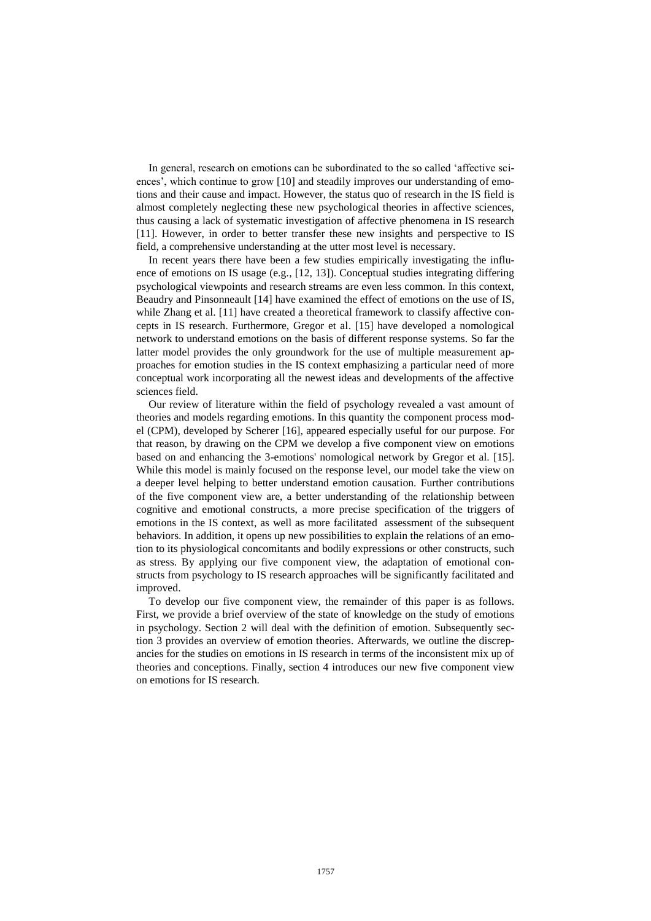In general, research on emotions can be subordinated to the so called 'affective sciences', which continue to grow [10] and steadily improves our understanding of emotions and their cause and impact. However, the status quo of research in the IS field is almost completely neglecting these new psychological theories in affective sciences, thus causing a lack of systematic investigation of affective phenomena in IS research [11]. However, in order to better transfer these new insights and perspective to IS field, a comprehensive understanding at the utter most level is necessary.

In recent years there have been a few studies empirically investigating the influence of emotions on IS usage (e.g., [12, 13]). Conceptual studies integrating differing psychological viewpoints and research streams are even less common. In this context, Beaudry and Pinsonneault [14] have examined the effect of emotions on the use of IS, while Zhang et al. [11] have created a theoretical framework to classify affective concepts in IS research. Furthermore, Gregor et al. [15] have developed a nomological network to understand emotions on the basis of different response systems. So far the latter model provides the only groundwork for the use of multiple measurement approaches for emotion studies in the IS context emphasizing a particular need of more conceptual work incorporating all the newest ideas and developments of the affective sciences field.

Our review of literature within the field of psychology revealed a vast amount of theories and models regarding emotions. In this quantity the component process model (CPM), developed by Scherer [16], appeared especially useful for our purpose. For that reason, by drawing on the CPM we develop a five component view on emotions based on and enhancing the 3-emotions' nomological network by Gregor et al. [15]. While this model is mainly focused on the response level, our model take the view on a deeper level helping to better understand emotion causation. Further contributions of the five component view are, a better understanding of the relationship between cognitive and emotional constructs, a more precise specification of the triggers of emotions in the IS context, as well as more facilitated assessment of the subsequent behaviors. In addition, it opens up new possibilities to explain the relations of an emotion to its physiological concomitants and bodily expressions or other constructs, such as stress. By applying our five component view, the adaptation of emotional constructs from psychology to IS research approaches will be significantly facilitated and improved.

To develop our five component view, the remainder of this paper is as follows. First, we provide a brief overview of the state of knowledge on the study of emotions in psychology. Section 2 will deal with the definition of emotion. Subsequently section 3 provides an overview of emotion theories. Afterwards, we outline the discrepancies for the studies on emotions in IS research in terms of the inconsistent mix up of theories and conceptions. Finally, section 4 introduces our new five component view on emotions for IS research.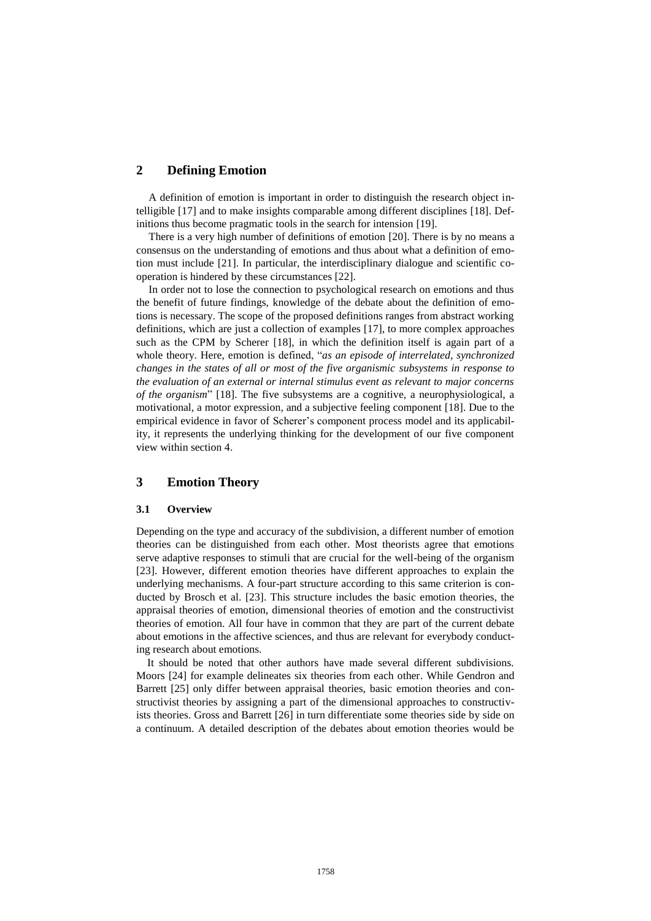# **2 Defining Emotion**

A definition of emotion is important in order to distinguish the research object intelligible [17] and to make insights comparable among different disciplines [18]. Definitions thus become pragmatic tools in the search for intension [19].

There is a very high number of definitions of emotion [20]. There is by no means a consensus on the understanding of emotions and thus about what a definition of emotion must include [21]. In particular, the interdisciplinary dialogue and scientific cooperation is hindered by these circumstances [22].

In order not to lose the connection to psychological research on emotions and thus the benefit of future findings, knowledge of the debate about the definition of emotions is necessary. The scope of the proposed definitions ranges from abstract working definitions, which are just a collection of examples [17], to more complex approaches such as the CPM by Scherer [18], in which the definition itself is again part of a whole theory. Here, emotion is defined, "*as an episode of interrelated, synchronized changes in the states of all or most of the five organismic subsystems in response to the evaluation of an external or internal stimulus event as relevant to major concerns of the organism*" [18]. The five subsystems are a cognitive, a neurophysiological, a motivational, a motor expression, and a subjective feeling component [18]. Due to the empirical evidence in favor of Scherer's component process model and its applicability, it represents the underlying thinking for the development of our five component view within section 4.

# **3 Emotion Theory**

#### **3.1 Overview**

Depending on the type and accuracy of the subdivision, a different number of emotion theories can be distinguished from each other. Most theorists agree that emotions serve adaptive responses to stimuli that are crucial for the well-being of the organism [23]. However, different emotion theories have different approaches to explain the underlying mechanisms. A four-part structure according to this same criterion is conducted by Brosch et al. [23]. This structure includes the basic emotion theories, the appraisal theories of emotion, dimensional theories of emotion and the constructivist theories of emotion. All four have in common that they are part of the current debate about emotions in the affective sciences, and thus are relevant for everybody conducting research about emotions.

 It should be noted that other authors have made several different subdivisions. Moors [24] for example delineates six theories from each other. While Gendron and Barrett [25] only differ between appraisal theories, basic emotion theories and constructivist theories by assigning a part of the dimensional approaches to constructivists theories. Gross and Barrett [26] in turn differentiate some theories side by side on a continuum. A detailed description of the debates about emotion theories would be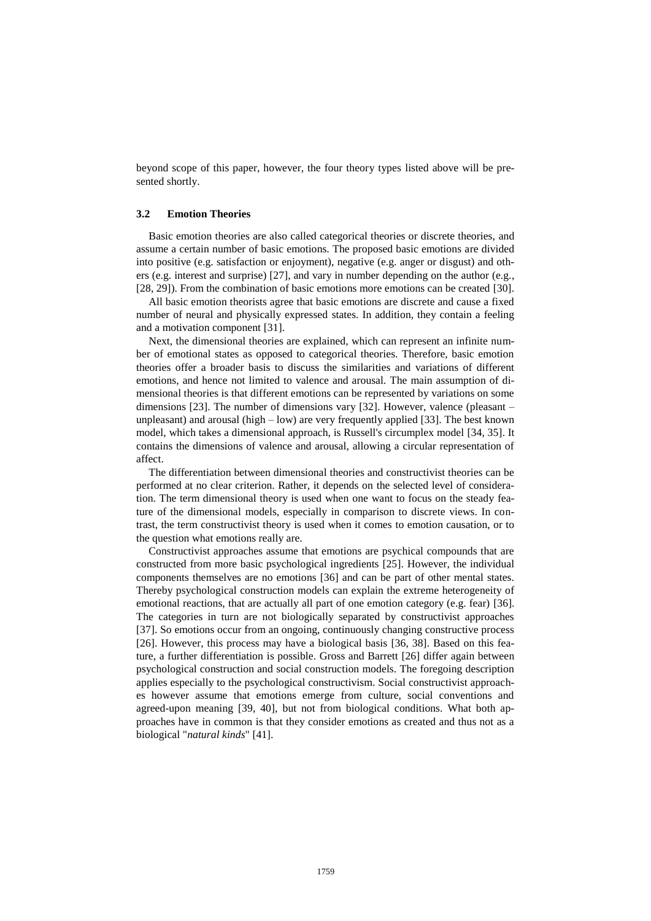beyond scope of this paper, however, the four theory types listed above will be presented shortly.

#### **3.2 Emotion Theories**

Basic emotion theories are also called categorical theories or discrete theories, and assume a certain number of basic emotions. The proposed basic emotions are divided into positive (e.g. satisfaction or enjoyment), negative (e.g. anger or disgust) and others (e.g. interest and surprise) [27], and vary in number depending on the author (e.g., [28, 29]). From the combination of basic emotions more emotions can be created [30].

All basic emotion theorists agree that basic emotions are discrete and cause a fixed number of neural and physically expressed states. In addition, they contain a feeling and a motivation component [31].

Next, the dimensional theories are explained, which can represent an infinite number of emotional states as opposed to categorical theories. Therefore, basic emotion theories offer a broader basis to discuss the similarities and variations of different emotions, and hence not limited to valence and arousal. The main assumption of dimensional theories is that different emotions can be represented by variations on some dimensions [23]. The number of dimensions vary [32]. However, valence (pleasant – unpleasant) and arousal (high  $-$  low) are very frequently applied [33]. The best known model, which takes a dimensional approach, is Russell's circumplex model [34, 35]. It contains the dimensions of valence and arousal, allowing a circular representation of affect.

The differentiation between dimensional theories and constructivist theories can be performed at no clear criterion. Rather, it depends on the selected level of consideration. The term dimensional theory is used when one want to focus on the steady feature of the dimensional models, especially in comparison to discrete views. In contrast, the term constructivist theory is used when it comes to emotion causation, or to the question what emotions really are.

Constructivist approaches assume that emotions are psychical compounds that are constructed from more basic psychological ingredients [25]. However, the individual components themselves are no emotions [36] and can be part of other mental states. Thereby psychological construction models can explain the extreme heterogeneity of emotional reactions, that are actually all part of one emotion category (e.g. fear) [36]. The categories in turn are not biologically separated by constructivist approaches [37]. So emotions occur from an ongoing, continuously changing constructive process [26]. However, this process may have a biological basis [36, 38]. Based on this feature, a further differentiation is possible. Gross and Barrett [26] differ again between psychological construction and social construction models. The foregoing description applies especially to the psychological constructivism. Social constructivist approaches however assume that emotions emerge from culture, social conventions and agreed-upon meaning [39, 40], but not from biological conditions. What both approaches have in common is that they consider emotions as created and thus not as a biological "*natural kinds*" [41].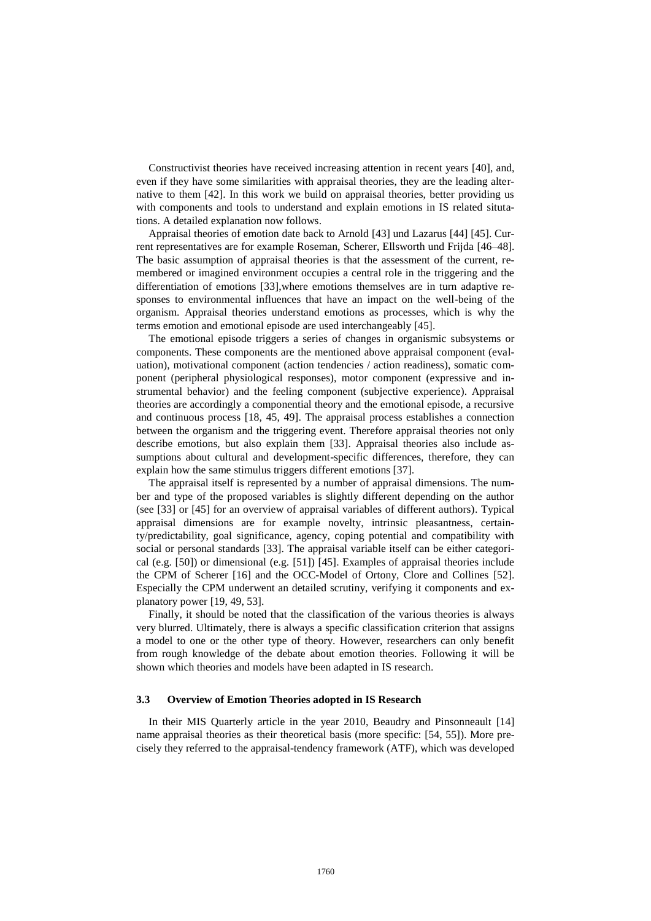Constructivist theories have received increasing attention in recent years [40], and, even if they have some similarities with appraisal theories, they are the leading alternative to them [42]. In this work we build on appraisal theories, better providing us with components and tools to understand and explain emotions in IS related situtations. A detailed explanation now follows.

Appraisal theories of emotion date back to Arnold [43] und Lazarus [44] [45]. Current representatives are for example Roseman, Scherer, Ellsworth und Frijda [46–48]. The basic assumption of appraisal theories is that the assessment of the current, remembered or imagined environment occupies a central role in the triggering and the differentiation of emotions [33],where emotions themselves are in turn adaptive responses to environmental influences that have an impact on the well-being of the organism. Appraisal theories understand emotions as processes, which is why the terms emotion and emotional episode are used interchangeably [45].

The emotional episode triggers a series of changes in organismic subsystems or components. These components are the mentioned above appraisal component (evaluation), motivational component (action tendencies / action readiness), somatic component (peripheral physiological responses), motor component (expressive and instrumental behavior) and the feeling component (subjective experience). Appraisal theories are accordingly a componential theory and the emotional episode, a recursive and continuous process [18, 45, 49]. The appraisal process establishes a connection between the organism and the triggering event. Therefore appraisal theories not only describe emotions, but also explain them [33]. Appraisal theories also include assumptions about cultural and development-specific differences, therefore, they can explain how the same stimulus triggers different emotions [37].

The appraisal itself is represented by a number of appraisal dimensions. The number and type of the proposed variables is slightly different depending on the author (see [33] or [45] for an overview of appraisal variables of different authors). Typical appraisal dimensions are for example novelty, intrinsic pleasantness, certainty/predictability, goal significance, agency, coping potential and compatibility with social or personal standards [33]. The appraisal variable itself can be either categorical (e.g. [50]) or dimensional (e.g. [51]) [45]. Examples of appraisal theories include the CPM of Scherer [16] and the OCC-Model of Ortony, Clore and Collines [52]. Especially the CPM underwent an detailed scrutiny, verifying it components and explanatory power [19, 49, 53].

Finally, it should be noted that the classification of the various theories is always very blurred. Ultimately, there is always a specific classification criterion that assigns a model to one or the other type of theory. However, researchers can only benefit from rough knowledge of the debate about emotion theories. Following it will be shown which theories and models have been adapted in IS research.

#### **3.3 Overview of Emotion Theories adopted in IS Research**

In their MIS Quarterly article in the year 2010, Beaudry and Pinsonneault [14] name appraisal theories as their theoretical basis (more specific: [54, 55]). More precisely they referred to the appraisal-tendency framework (ATF), which was developed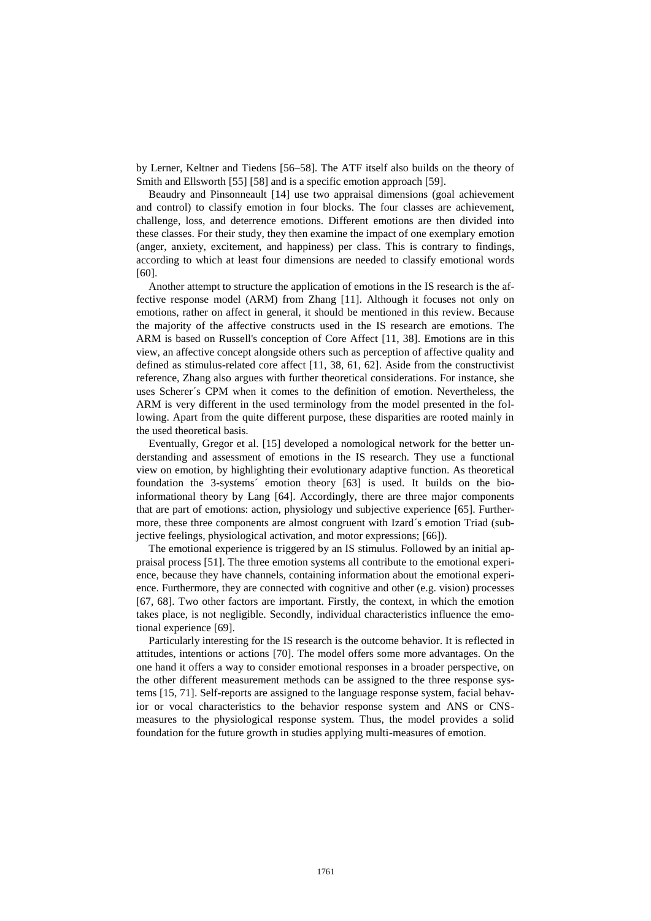by Lerner, Keltner and Tiedens [56–58]. The ATF itself also builds on the theory of Smith and Ellsworth [55] [58] and is a specific emotion approach [59].

Beaudry and Pinsonneault [14] use two appraisal dimensions (goal achievement and control) to classify emotion in four blocks. The four classes are achievement, challenge, loss, and deterrence emotions. Different emotions are then divided into these classes. For their study, they then examine the impact of one exemplary emotion (anger, anxiety, excitement, and happiness) per class. This is contrary to findings, according to which at least four dimensions are needed to classify emotional words [60].

Another attempt to structure the application of emotions in the IS research is the affective response model (ARM) from Zhang [11]. Although it focuses not only on emotions, rather on affect in general, it should be mentioned in this review. Because the majority of the affective constructs used in the IS research are emotions. The ARM is based on Russell's conception of Core Affect [11, 38]. Emotions are in this view, an affective concept alongside others such as perception of affective quality and defined as stimulus-related core affect [11, 38, 61, 62]. Aside from the constructivist reference, Zhang also argues with further theoretical considerations. For instance, she uses Scherer´s CPM when it comes to the definition of emotion. Nevertheless, the ARM is very different in the used terminology from the model presented in the following. Apart from the quite different purpose, these disparities are rooted mainly in the used theoretical basis.

Eventually, Gregor et al. [15] developed a nomological network for the better understanding and assessment of emotions in the IS research. They use a functional view on emotion, by highlighting their evolutionary adaptive function. As theoretical foundation the 3-systems´ emotion theory [63] is used. It builds on the bioinformational theory by Lang [64]. Accordingly, there are three major components that are part of emotions: action, physiology und subjective experience [65]. Furthermore, these three components are almost congruent with Izard´s emotion Triad (subjective feelings, physiological activation, and motor expressions; [66]).

The emotional experience is triggered by an IS stimulus. Followed by an initial appraisal process [51]. The three emotion systems all contribute to the emotional experience, because they have channels, containing information about the emotional experience. Furthermore, they are connected with cognitive and other (e.g. vision) processes [67, 68]. Two other factors are important. Firstly, the context, in which the emotion takes place, is not negligible. Secondly, individual characteristics influence the emotional experience [69].

Particularly interesting for the IS research is the outcome behavior. It is reflected in attitudes, intentions or actions [70]. The model offers some more advantages. On the one hand it offers a way to consider emotional responses in a broader perspective, on the other different measurement methods can be assigned to the three response systems [15, 71]. Self-reports are assigned to the language response system, facial behavior or vocal characteristics to the behavior response system and ANS or CNSmeasures to the physiological response system. Thus, the model provides a solid foundation for the future growth in studies applying multi-measures of emotion.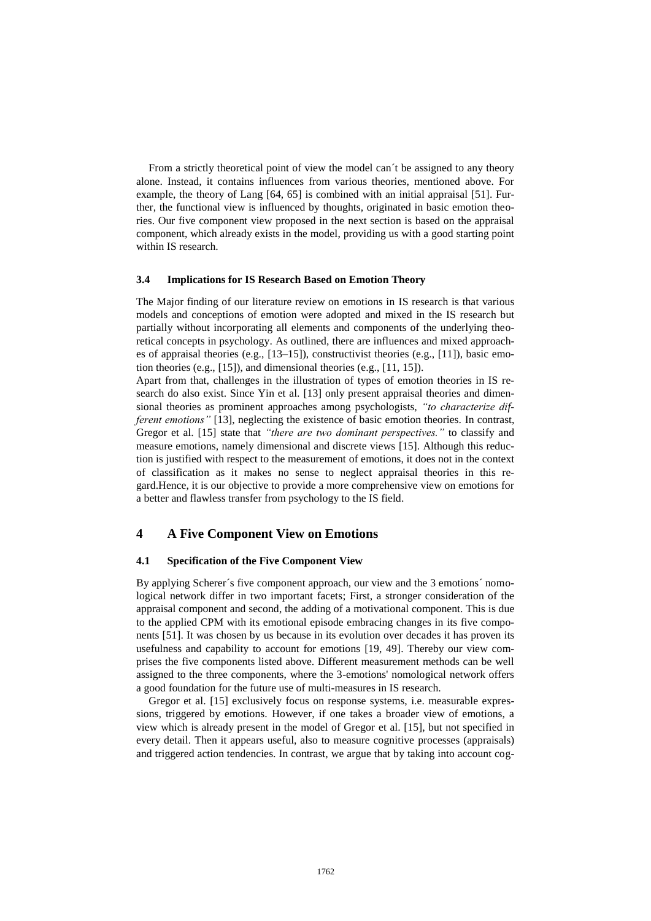From a strictly theoretical point of view the model can´t be assigned to any theory alone. Instead, it contains influences from various theories, mentioned above. For example, the theory of Lang [64, 65] is combined with an initial appraisal [51]. Further, the functional view is influenced by thoughts, originated in basic emotion theories. Our five component view proposed in the next section is based on the appraisal component, which already exists in the model, providing us with a good starting point within IS research.

#### **3.4 Implications for IS Research Based on Emotion Theory**

The Major finding of our literature review on emotions in IS research is that various models and conceptions of emotion were adopted and mixed in the IS research but partially without incorporating all elements and components of the underlying theoretical concepts in psychology. As outlined, there are influences and mixed approaches of appraisal theories (e.g., [13–15]), constructivist theories (e.g., [11]), basic emotion theories (e.g., [15]), and dimensional theories (e.g., [11, 15]).

Apart from that, challenges in the illustration of types of emotion theories in IS research do also exist. Since Yin et al. [13] only present appraisal theories and dimensional theories as prominent approaches among psychologists, *"to characterize different emotions*" [13], neglecting the existence of basic emotion theories. In contrast, Gregor et al. [15] state that *"there are two dominant perspectives."* to classify and measure emotions, namely dimensional and discrete views [15]. Although this reduction is justified with respect to the measurement of emotions, it does not in the context of classification as it makes no sense to neglect appraisal theories in this regard.Hence, it is our objective to provide a more comprehensive view on emotions for a better and flawless transfer from psychology to the IS field.

# **4 A Five Component View on Emotions**

#### **4.1 Specification of the Five Component View**

By applying Scherer's five component approach, our view and the 3 emotions' nomological network differ in two important facets; First, a stronger consideration of the appraisal component and second, the adding of a motivational component. This is due to the applied CPM with its emotional episode embracing changes in its five components [51]. It was chosen by us because in its evolution over decades it has proven its usefulness and capability to account for emotions [19, 49]. Thereby our view comprises the five components listed above. Different measurement methods can be well assigned to the three components, where the 3-emotions' nomological network offers a good foundation for the future use of multi-measures in IS research.

Gregor et al. [15] exclusively focus on response systems, i.e. measurable expressions, triggered by emotions. However, if one takes a broader view of emotions, a view which is already present in the model of Gregor et al. [15], but not specified in every detail. Then it appears useful, also to measure cognitive processes (appraisals) and triggered action tendencies. In contrast, we argue that by taking into account cog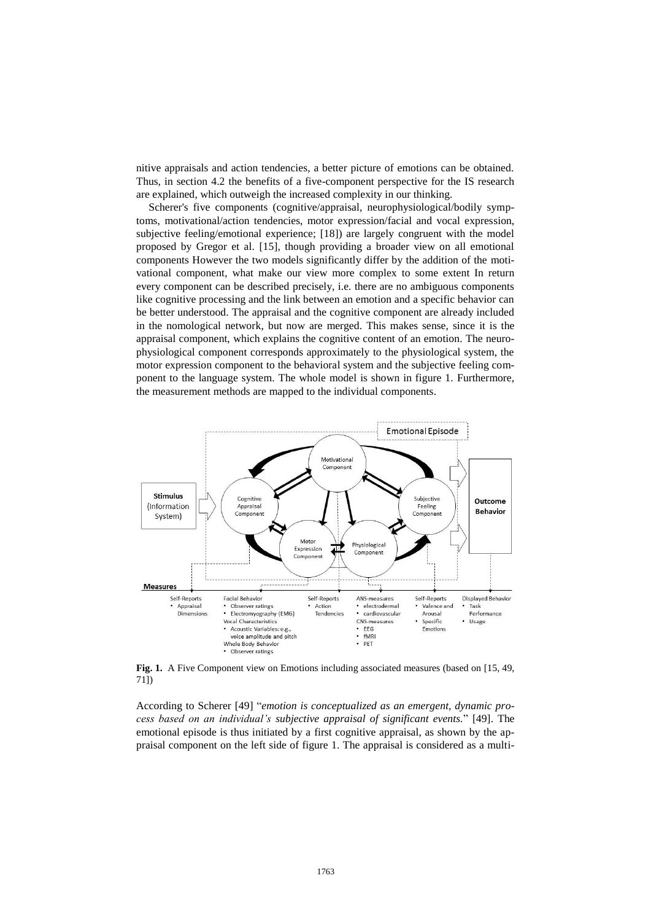nitive appraisals and action tendencies, a better picture of emotions can be obtained. Thus, in section 4.2 the benefits of a five-component perspective for the IS research are explained, which outweigh the increased complexity in our thinking.

Scherer's five components (cognitive/appraisal, neurophysiological/bodily symptoms, motivational/action tendencies, motor expression/facial and vocal expression, subjective feeling/emotional experience; [18]) are largely congruent with the model proposed by Gregor et al. [15], though providing a broader view on all emotional components However the two models significantly differ by the addition of the motivational component, what make our view more complex to some extent In return every component can be described precisely, i.e. there are no ambiguous components like cognitive processing and the link between an emotion and a specific behavior can be better understood. The appraisal and the cognitive component are already included in the nomological network, but now are merged. This makes sense, since it is the appraisal component, which explains the cognitive content of an emotion. The neurophysiological component corresponds approximately to the physiological system, the motor expression component to the behavioral system and the subjective feeling component to the language system. The whole model is shown in figure 1. Furthermore, the measurement methods are mapped to the individual components.



**Fig. 1.** A Five Component view on Emotions including associated measures (based on [15, 49, 71])

According to Scherer [49] "*emotion is conceptualized as an emergent, dynamic process based on an individual's subjective appraisal of significant events.*" [49]. The emotional episode is thus initiated by a first cognitive appraisal, as shown by the appraisal component on the left side of figure 1. The appraisal is considered as a multi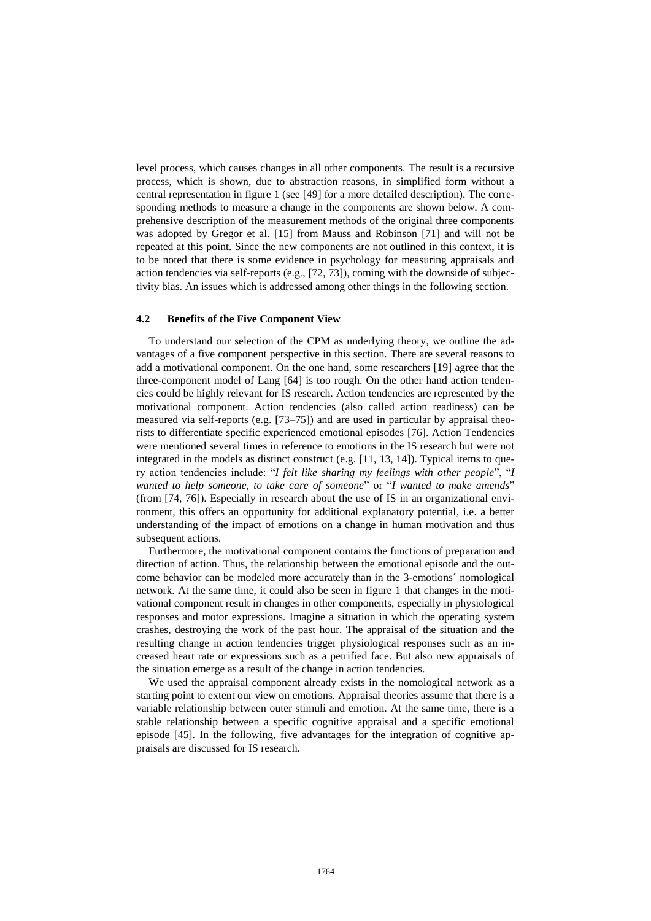level process, which causes changes in all other components. The result is a recursive process, which is shown, due to abstraction reasons, in simplified form without a central representation in figure 1 (see [49] for a more detailed description). The corresponding methods to measure a change in the components are shown below. A comprehensive description of the measurement methods of the original three components was adopted by Gregor et al. [15] from Mauss and Robinson [71] and will not be repeated at this point. Since the new components are not outlined in this context, it is to be noted that there is some evidence in psychology for measuring appraisals and action tendencies via self-reports (e.g., [72, 73]), coming with the downside of subjectivity bias. An issues which is addressed among other things in the following section.

#### **4.2 Benefits of the Five Component View**

To understand our selection of the CPM as underlying theory, we outline the advantages of a five component perspective in this section. There are several reasons to add a motivational component. On the one hand, some researchers [19] agree that the three-component model of Lang [64] is too rough. On the other hand action tendencies could be highly relevant for IS research. Action tendencies are represented by the motivational component. Action tendencies (also called action readiness) can be measured via self-reports (e.g. [73–75]) and are used in particular by appraisal theorists to differentiate specific experienced emotional episodes [76]. Action Tendencies were mentioned several times in reference to emotions in the IS research but were not integrated in the models as distinct construct (e.g.  $[11, 13, 14]$ ). Typical items to query action tendencies include: "*I felt like sharing my feelings with other people*", "*I wanted to help someone, to take care of someone*" or "*I wanted to make amends*" (from [74, 76]). Especially in research about the use of IS in an organizational environment, this offers an opportunity for additional explanatory potential, i.e. a better understanding of the impact of emotions on a change in human motivation and thus subsequent actions.

Furthermore, the motivational component contains the functions of preparation and direction of action. Thus, the relationship between the emotional episode and the outcome behavior can be modeled more accurately than in the 3-emotions´ nomological network. At the same time, it could also be seen in figure 1 that changes in the motivational component result in changes in other components, especially in physiological responses and motor expressions. Imagine a situation in which the operating system crashes, destroying the work of the past hour. The appraisal of the situation and the resulting change in action tendencies trigger physiological responses such as an increased heart rate or expressions such as a petrified face. But also new appraisals of the situation emerge as a result of the change in action tendencies.

We used the appraisal component already exists in the nomological network as a starting point to extent our view on emotions. Appraisal theories assume that there is a variable relationship between outer stimuli and emotion. At the same time, there is a stable relationship between a specific cognitive appraisal and a specific emotional episode [45]. In the following, five advantages for the integration of cognitive appraisals are discussed for IS research.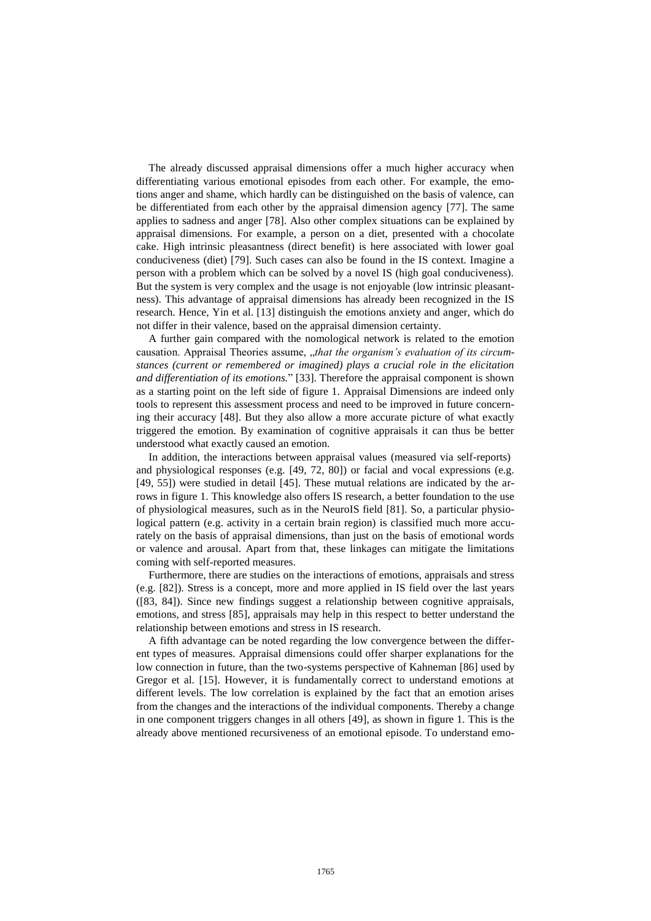The already discussed appraisal dimensions offer a much higher accuracy when differentiating various emotional episodes from each other. For example, the emotions anger and shame, which hardly can be distinguished on the basis of valence, can be differentiated from each other by the appraisal dimension agency [77]. The same applies to sadness and anger [78]. Also other complex situations can be explained by appraisal dimensions. For example, a person on a diet, presented with a chocolate cake. High intrinsic pleasantness (direct benefit) is here associated with lower goal conduciveness (diet) [79]. Such cases can also be found in the IS context. Imagine a person with a problem which can be solved by a novel IS (high goal conduciveness). But the system is very complex and the usage is not enjoyable (low intrinsic pleasantness). This advantage of appraisal dimensions has already been recognized in the IS research. Hence, Yin et al. [13] distinguish the emotions anxiety and anger, which do not differ in their valence, based on the appraisal dimension certainty.

A further gain compared with the nomological network is related to the emotion causation. Appraisal Theories assume, "that the organism's evaluation of its circum*stances (current or remembered or imagined) plays a crucial role in the elicitation and differentiation of its emotions.*" [33]. Therefore the appraisal component is shown as a starting point on the left side of figure 1. Appraisal Dimensions are indeed only tools to represent this assessment process and need to be improved in future concerning their accuracy [48]. But they also allow a more accurate picture of what exactly triggered the emotion. By examination of cognitive appraisals it can thus be better understood what exactly caused an emotion.

In addition, the interactions between appraisal values (measured via self-reports) and physiological responses (e.g. [49, 72, 80]) or facial and vocal expressions (e.g. [49, 55]) were studied in detail [45]. These mutual relations are indicated by the arrows in figure 1. This knowledge also offers IS research, a better foundation to the use of physiological measures, such as in the NeuroIS field [81]. So, a particular physiological pattern (e.g. activity in a certain brain region) is classified much more accurately on the basis of appraisal dimensions, than just on the basis of emotional words or valence and arousal. Apart from that, these linkages can mitigate the limitations coming with self-reported measures.

Furthermore, there are studies on the interactions of emotions, appraisals and stress (e.g. [82]). Stress is a concept, more and more applied in IS field over the last years ([83, 84]). Since new findings suggest a relationship between cognitive appraisals, emotions, and stress [85], appraisals may help in this respect to better understand the relationship between emotions and stress in IS research.

A fifth advantage can be noted regarding the low convergence between the different types of measures. Appraisal dimensions could offer sharper explanations for the low connection in future, than the two-systems perspective of Kahneman [86] used by Gregor et al. [15]. However, it is fundamentally correct to understand emotions at different levels. The low correlation is explained by the fact that an emotion arises from the changes and the interactions of the individual components. Thereby a change in one component triggers changes in all others [49], as shown in figure 1. This is the already above mentioned recursiveness of an emotional episode. To understand emo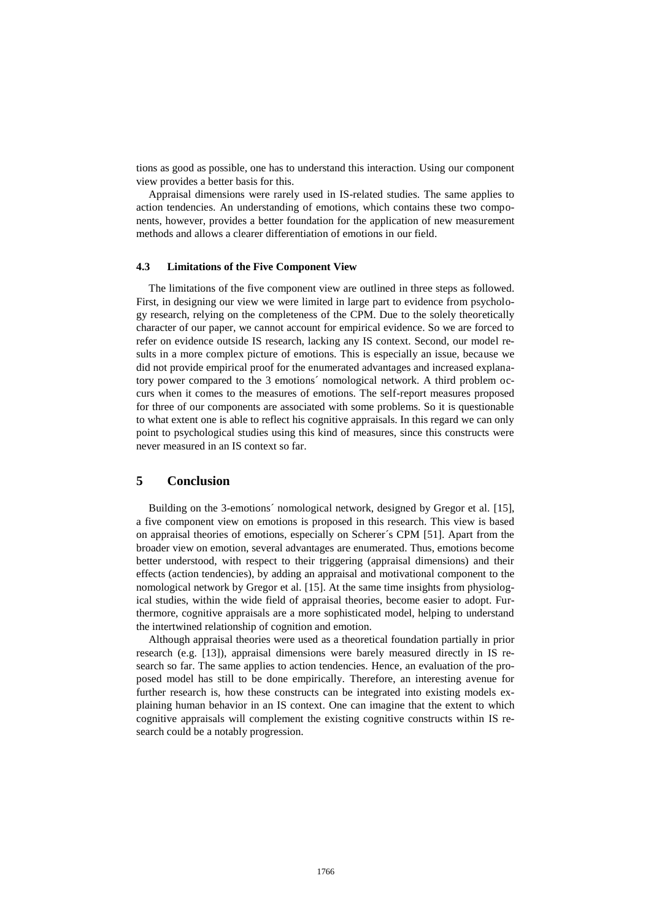tions as good as possible, one has to understand this interaction. Using our component view provides a better basis for this.

Appraisal dimensions were rarely used in IS-related studies. The same applies to action tendencies. An understanding of emotions, which contains these two components, however, provides a better foundation for the application of new measurement methods and allows a clearer differentiation of emotions in our field.

#### **4.3 Limitations of the Five Component View**

The limitations of the five component view are outlined in three steps as followed. First, in designing our view we were limited in large part to evidence from psychology research, relying on the completeness of the CPM. Due to the solely theoretically character of our paper, we cannot account for empirical evidence. So we are forced to refer on evidence outside IS research, lacking any IS context. Second, our model results in a more complex picture of emotions. This is especially an issue, because we did not provide empirical proof for the enumerated advantages and increased explanatory power compared to the 3 emotions´ nomological network. A third problem occurs when it comes to the measures of emotions. The self-report measures proposed for three of our components are associated with some problems. So it is questionable to what extent one is able to reflect his cognitive appraisals. In this regard we can only point to psychological studies using this kind of measures, since this constructs were never measured in an IS context so far.

# **5 Conclusion**

Building on the 3-emotions´ nomological network, designed by Gregor et al. [15], a five component view on emotions is proposed in this research. This view is based on appraisal theories of emotions, especially on Scherer´s CPM [51]. Apart from the broader view on emotion, several advantages are enumerated. Thus, emotions become better understood, with respect to their triggering (appraisal dimensions) and their effects (action tendencies), by adding an appraisal and motivational component to the nomological network by Gregor et al. [15]. At the same time insights from physiological studies, within the wide field of appraisal theories, become easier to adopt. Furthermore, cognitive appraisals are a more sophisticated model, helping to understand the intertwined relationship of cognition and emotion.

Although appraisal theories were used as a theoretical foundation partially in prior research (e.g. [13]), appraisal dimensions were barely measured directly in IS research so far. The same applies to action tendencies. Hence, an evaluation of the proposed model has still to be done empirically. Therefore, an interesting avenue for further research is, how these constructs can be integrated into existing models explaining human behavior in an IS context. One can imagine that the extent to which cognitive appraisals will complement the existing cognitive constructs within IS research could be a notably progression.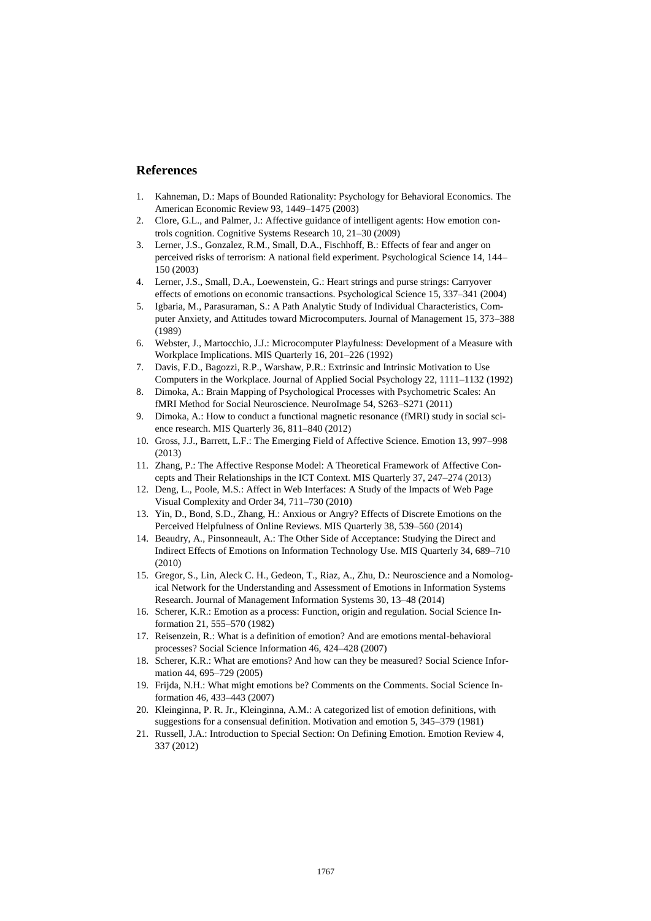# **References**

- 1. Kahneman, D.: Maps of Bounded Rationality: Psychology for Behavioral Economics. The American Economic Review 93, 1449–1475 (2003)
- 2. Clore, G.L., and Palmer, J.: Affective guidance of intelligent agents: How emotion controls cognition. Cognitive Systems Research 10, 21–30 (2009)
- 3. Lerner, J.S., Gonzalez, R.M., Small, D.A., Fischhoff, B.: Effects of fear and anger on perceived risks of terrorism: A national field experiment. Psychological Science 14, 144– 150 (2003)
- 4. Lerner, J.S., Small, D.A., Loewenstein, G.: Heart strings and purse strings: Carryover effects of emotions on economic transactions. Psychological Science 15, 337–341 (2004)
- 5. Igbaria, M., Parasuraman, S.: A Path Analytic Study of Individual Characteristics, Computer Anxiety, and Attitudes toward Microcomputers. Journal of Management 15, 373–388 (1989)
- 6. Webster, J., Martocchio, J.J.: Microcomputer Playfulness: Development of a Measure with Workplace Implications. MIS Quarterly 16, 201–226 (1992)
- 7. Davis, F.D., Bagozzi, R.P., Warshaw, P.R.: Extrinsic and Intrinsic Motivation to Use Computers in the Workplace. Journal of Applied Social Psychology 22, 1111–1132 (1992)
- 8. Dimoka, A.: Brain Mapping of Psychological Processes with Psychometric Scales: An fMRI Method for Social Neuroscience. NeuroImage 54, S263–S271 (2011)
- 9. Dimoka, A.: How to conduct a functional magnetic resonance (fMRI) study in social science research. MIS Quarterly 36, 811–840 (2012)
- 10. Gross, J.J., Barrett, L.F.: The Emerging Field of Affective Science. Emotion 13, 997–998 (2013)
- 11. Zhang, P.: The Affective Response Model: A Theoretical Framework of Affective Concepts and Their Relationships in the ICT Context. MIS Quarterly 37, 247–274 (2013)
- 12. Deng, L., Poole, M.S.: Affect in Web Interfaces: A Study of the Impacts of Web Page Visual Complexity and Order 34, 711–730 (2010)
- 13. Yin, D., Bond, S.D., Zhang, H.: Anxious or Angry? Effects of Discrete Emotions on the Perceived Helpfulness of Online Reviews. MIS Quarterly 38, 539–560 (2014)
- 14. Beaudry, A., Pinsonneault, A.: The Other Side of Acceptance: Studying the Direct and Indirect Effects of Emotions on Information Technology Use. MIS Quarterly 34, 689–710 (2010)
- 15. Gregor, S., Lin, Aleck C. H., Gedeon, T., Riaz, A., Zhu, D.: Neuroscience and a Nomological Network for the Understanding and Assessment of Emotions in Information Systems Research. Journal of Management Information Systems 30, 13–48 (2014)
- 16. Scherer, K.R.: Emotion as a process: Function, origin and regulation. Social Science Information 21, 555–570 (1982)
- 17. Reisenzein, R.: What is a definition of emotion? And are emotions mental-behavioral processes? Social Science Information 46, 424–428 (2007)
- 18. Scherer, K.R.: What are emotions? And how can they be measured? Social Science Information 44, 695–729 (2005)
- 19. Frijda, N.H.: What might emotions be? Comments on the Comments. Social Science Information 46, 433–443 (2007)
- 20. Kleinginna, P. R. Jr., Kleinginna, A.M.: A categorized list of emotion definitions, with suggestions for a consensual definition. Motivation and emotion 5, 345–379 (1981)
- 21. Russell, J.A.: Introduction to Special Section: On Defining Emotion. Emotion Review 4, 337 (2012)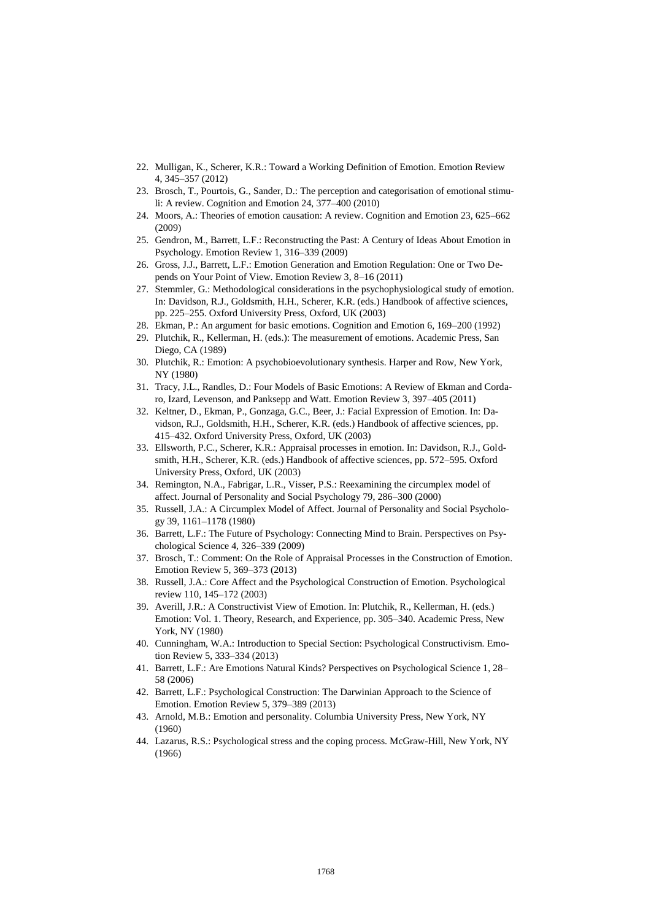- 22. Mulligan, K., Scherer, K.R.: Toward a Working Definition of Emotion. Emotion Review 4, 345–357 (2012)
- 23. Brosch, T., Pourtois, G., Sander, D.: The perception and categorisation of emotional stimuli: A review. Cognition and Emotion 24, 377–400 (2010)
- 24. Moors, A.: Theories of emotion causation: A review. Cognition and Emotion 23, 625–662 (2009)
- 25. Gendron, M., Barrett, L.F.: Reconstructing the Past: A Century of Ideas About Emotion in Psychology. Emotion Review 1, 316–339 (2009)
- 26. Gross, J.J., Barrett, L.F.: Emotion Generation and Emotion Regulation: One or Two Depends on Your Point of View. Emotion Review 3, 8–16 (2011)
- 27. Stemmler, G.: Methodological considerations in the psychophysiological study of emotion. In: Davidson, R.J., Goldsmith, H.H., Scherer, K.R. (eds.) Handbook of affective sciences, pp. 225–255. Oxford University Press, Oxford, UK (2003)
- 28. Ekman, P.: An argument for basic emotions. Cognition and Emotion 6, 169–200 (1992)
- 29. Plutchik, R., Kellerman, H. (eds.): The measurement of emotions. Academic Press, San Diego, CA (1989)
- 30. Plutchik, R.: Emotion: A psychobioevolutionary synthesis. Harper and Row, New York, NY (1980)
- 31. Tracy, J.L., Randles, D.: Four Models of Basic Emotions: A Review of Ekman and Cordaro, Izard, Levenson, and Panksepp and Watt. Emotion Review 3, 397–405 (2011)
- 32. Keltner, D., Ekman, P., Gonzaga, G.C., Beer, J.: Facial Expression of Emotion. In: Davidson, R.J., Goldsmith, H.H., Scherer, K.R. (eds.) Handbook of affective sciences, pp. 415–432. Oxford University Press, Oxford, UK (2003)
- 33. Ellsworth, P.C., Scherer, K.R.: Appraisal processes in emotion. In: Davidson, R.J., Goldsmith, H.H., Scherer, K.R. (eds.) Handbook of affective sciences, pp. 572–595. Oxford University Press, Oxford, UK (2003)
- 34. Remington, N.A., Fabrigar, L.R., Visser, P.S.: Reexamining the circumplex model of affect. Journal of Personality and Social Psychology 79, 286–300 (2000)
- 35. Russell, J.A.: A Circumplex Model of Affect. Journal of Personality and Social Psychology 39, 1161–1178 (1980)
- 36. Barrett, L.F.: The Future of Psychology: Connecting Mind to Brain. Perspectives on Psychological Science 4, 326–339 (2009)
- 37. Brosch, T.: Comment: On the Role of Appraisal Processes in the Construction of Emotion. Emotion Review 5, 369–373 (2013)
- 38. Russell, J.A.: Core Affect and the Psychological Construction of Emotion. Psychological review 110, 145–172 (2003)
- 39. Averill, J.R.: A Constructivist View of Emotion. In: Plutchik, R., Kellerman, H. (eds.) Emotion: Vol. 1. Theory, Research, and Experience, pp. 305–340. Academic Press, New York, NY (1980)
- 40. Cunningham, W.A.: Introduction to Special Section: Psychological Constructivism. Emotion Review 5, 333–334 (2013)
- 41. Barrett, L.F.: Are Emotions Natural Kinds? Perspectives on Psychological Science 1, 28– 58 (2006)
- 42. Barrett, L.F.: Psychological Construction: The Darwinian Approach to the Science of Emotion. Emotion Review 5, 379–389 (2013)
- 43. Arnold, M.B.: Emotion and personality. Columbia University Press, New York, NY (1960)
- 44. Lazarus, R.S.: Psychological stress and the coping process. McGraw-Hill, New York, NY (1966)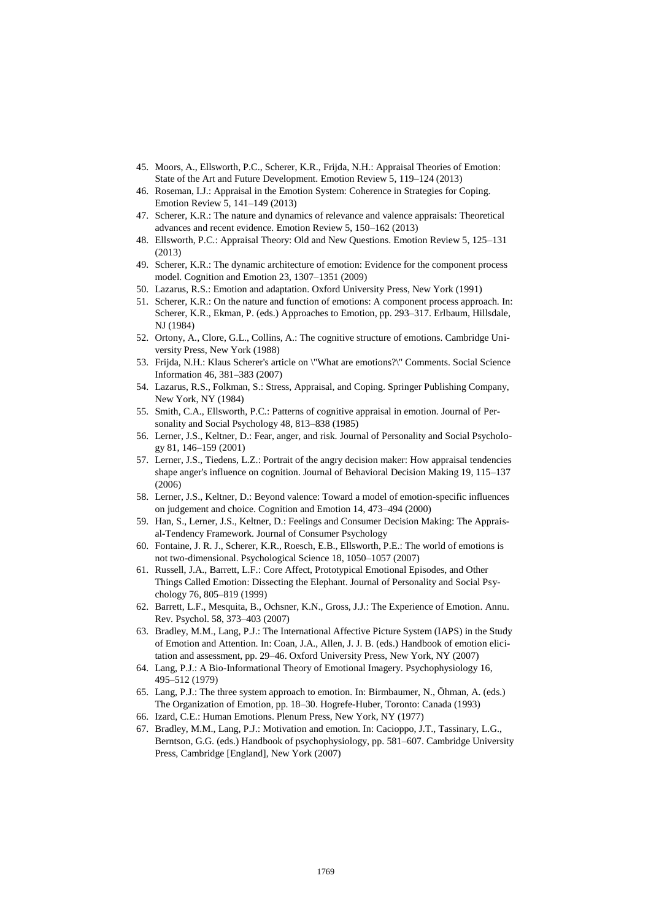- 45. Moors, A., Ellsworth, P.C., Scherer, K.R., Frijda, N.H.: Appraisal Theories of Emotion: State of the Art and Future Development. Emotion Review 5, 119–124 (2013)
- 46. Roseman, I.J.: Appraisal in the Emotion System: Coherence in Strategies for Coping. Emotion Review 5, 141–149 (2013)
- 47. Scherer, K.R.: The nature and dynamics of relevance and valence appraisals: Theoretical advances and recent evidence. Emotion Review 5, 150–162 (2013)
- 48. Ellsworth, P.C.: Appraisal Theory: Old and New Questions. Emotion Review 5, 125–131 (2013)
- 49. Scherer, K.R.: The dynamic architecture of emotion: Evidence for the component process model. Cognition and Emotion 23, 1307–1351 (2009)
- 50. Lazarus, R.S.: Emotion and adaptation. Oxford University Press, New York (1991)
- 51. Scherer, K.R.: On the nature and function of emotions: A component process approach. In: Scherer, K.R., Ekman, P. (eds.) Approaches to Emotion, pp. 293–317. Erlbaum, Hillsdale, NJ (1984)
- 52. Ortony, A., Clore, G.L., Collins, A.: The cognitive structure of emotions. Cambridge University Press, New York (1988)
- 53. Frijda, N.H.: Klaus Scherer's article on \"What are emotions?\" Comments. Social Science Information 46, 381–383 (2007)
- 54. Lazarus, R.S., Folkman, S.: Stress, Appraisal, and Coping. Springer Publishing Company, New York, NY (1984)
- 55. Smith, C.A., Ellsworth, P.C.: Patterns of cognitive appraisal in emotion. Journal of Personality and Social Psychology 48, 813–838 (1985)
- 56. Lerner, J.S., Keltner, D.: Fear, anger, and risk. Journal of Personality and Social Psychology 81, 146–159 (2001)
- 57. Lerner, J.S., Tiedens, L.Z.: Portrait of the angry decision maker: How appraisal tendencies shape anger's influence on cognition. Journal of Behavioral Decision Making 19, 115–137 (2006)
- 58. Lerner, J.S., Keltner, D.: Beyond valence: Toward a model of emotion-specific influences on judgement and choice. Cognition and Emotion 14, 473–494 (2000)
- 59. Han, S., Lerner, J.S., Keltner, D.: Feelings and Consumer Decision Making: The Appraisal-Tendency Framework. Journal of Consumer Psychology
- 60. Fontaine, J. R. J., Scherer, K.R., Roesch, E.B., Ellsworth, P.E.: The world of emotions is not two-dimensional. Psychological Science 18, 1050–1057 (2007)
- 61. Russell, J.A., Barrett, L.F.: Core Affect, Prototypical Emotional Episodes, and Other Things Called Emotion: Dissecting the Elephant. Journal of Personality and Social Psychology 76, 805–819 (1999)
- 62. Barrett, L.F., Mesquita, B., Ochsner, K.N., Gross, J.J.: The Experience of Emotion. Annu. Rev. Psychol. 58, 373–403 (2007)
- 63. Bradley, M.M., Lang, P.J.: The International Affective Picture System (IAPS) in the Study of Emotion and Attention. In: Coan, J.A., Allen, J. J. B. (eds.) Handbook of emotion elicitation and assessment, pp. 29–46. Oxford University Press, New York, NY (2007)
- 64. Lang, P.J.: A Bio-Informational Theory of Emotional Imagery. Psychophysiology 16, 495–512 (1979)
- 65. Lang, P.J.: The three system approach to emotion. In: Birmbaumer, N., Öhman, A. (eds.) The Organization of Emotion, pp. 18–30. Hogrefe-Huber, Toronto: Canada (1993)
- 66. Izard, C.E.: Human Emotions. Plenum Press, New York, NY (1977)
- 67. Bradley, M.M., Lang, P.J.: Motivation and emotion. In: Cacioppo, J.T., Tassinary, L.G., Berntson, G.G. (eds.) Handbook of psychophysiology, pp. 581–607. Cambridge University Press, Cambridge [England], New York (2007)